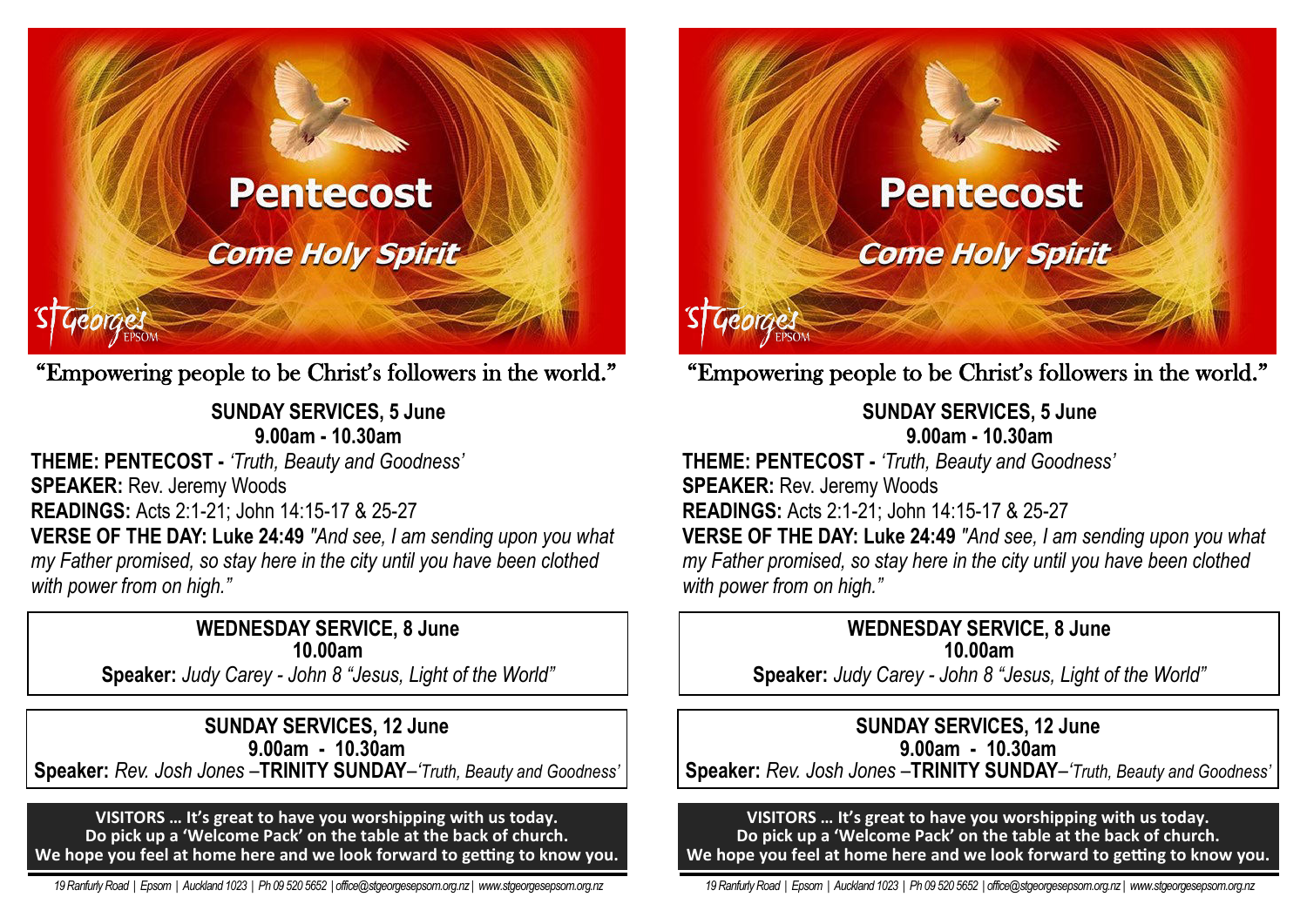

"Empowering people to be Christ's followers in the world."

## **SUNDAY SERVICES, 5 June 9.00am - 10.30am**

**THEME: PENTECOST -** *'Truth, Beauty and Goodness'* **SPEAKER:** Rev. Jeremy Woods **READINGS:** Acts 2:1-21; John 14:15-17 & 25-27 **VERSE OF THE DAY: Luke 24:49** *"And see, I am sending upon you what my Father promised, so stay here in the city until you have been clothed with power from on high."*

### **WEDNESDAY SERVICE, 8 June 10.00am**

**Speaker:** *Judy Carey - John 8 "Jesus, Light of the World"*

**SUNDAY SERVICES, 12 June 9.00am - 10.30am Speaker:** *Rev. Josh Jones –***TRINITY SUNDAY***–'Truth, Beauty and Goodness'*

**VISITORS … It's great to have you worshipping with us today. Do pick up a 'Welcome Pack' on the table at the back of church. We hope you feel at home here and we look forward to getting to know you.**

 *19 Ranfurly Road | Epsom | Auckland 1023 | Ph 09 520 5652 | office@stgeorgesepsom.org.nz | www.stgeorgesepsom.org.nz* 



# "Empowering people to be Christ's followers in the world."

**SUNDAY SERVICES, 5 June 9.00am - 10.30am** 

**THEME: PENTECOST -** *'Truth, Beauty and Goodness'* **SPEAKER: Rev. Jeremy Woods READINGS:** Acts 2:1-21; John 14:15-17 & 25-27 **VERSE OF THE DAY: Luke 24:49** *"And see, I am sending upon you what my Father promised, so stay here in the city until you have been clothed with power from on high."*

### **WEDNESDAY SERVICE, 8 June 10.00am**

**Speaker:** *Judy Carey - John 8 "Jesus, Light of the World"*

## **SUNDAY SERVICES, 12 June**

**9.00am - 10.30am Speaker:** *Rev. Josh Jones –***TRINITY SUNDAY***–'Truth, Beauty and Goodness'*

#### **VISITORS … It's great to have you worshipping with us today. Do pick up a 'Welcome Pack' on the table at the back of church. We hope you feel at home here and we look forward to getting to know you.**

 *19 Ranfurly Road | Epsom | Auckland 1023 | Ph 09 520 5652 | office@stgeorgesepsom.org.nz | www.stgeorgesepsom.org.nz*